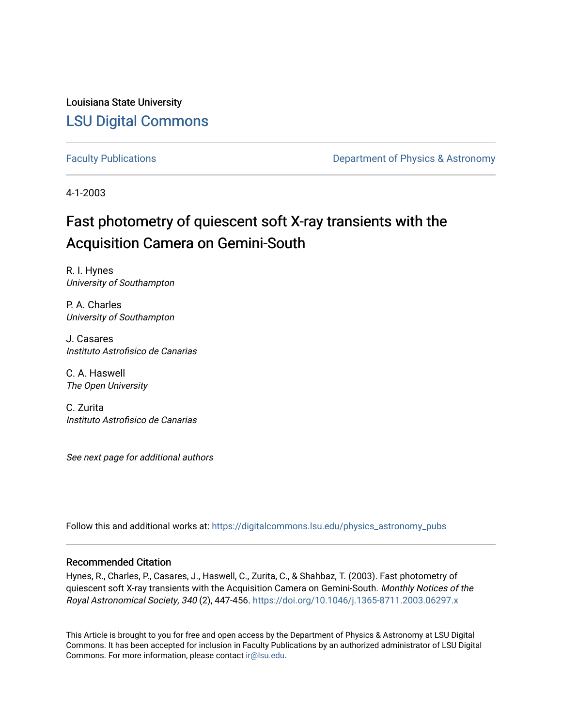Louisiana State University [LSU Digital Commons](https://digitalcommons.lsu.edu/)

[Faculty Publications](https://digitalcommons.lsu.edu/physics_astronomy_pubs) **Exercise 2 and Table 2 and Table 2 and Table 2 and Table 2 and Table 2 and Table 2 and Table 2 and Table 2 and Table 2 and Table 2 and Table 2 and Table 2 and Table 2 and Table 2 and Table 2 and Table** 

4-1-2003

# Fast photometry of quiescent soft X-ray transients with the Acquisition Camera on Gemini-South

R. I. Hynes University of Southampton

P. A. Charles University of Southampton

J. Casares Instituto Astrofisico de Canarias

C. A. Haswell The Open University

C. Zurita Instituto Astrofisico de Canarias

See next page for additional authors

Follow this and additional works at: [https://digitalcommons.lsu.edu/physics\\_astronomy\\_pubs](https://digitalcommons.lsu.edu/physics_astronomy_pubs?utm_source=digitalcommons.lsu.edu%2Fphysics_astronomy_pubs%2F2647&utm_medium=PDF&utm_campaign=PDFCoverPages) 

#### Recommended Citation

Hynes, R., Charles, P., Casares, J., Haswell, C., Zurita, C., & Shahbaz, T. (2003). Fast photometry of quiescent soft X-ray transients with the Acquisition Camera on Gemini-South. Monthly Notices of the Royal Astronomical Society, 340 (2), 447-456. <https://doi.org/10.1046/j.1365-8711.2003.06297.x>

This Article is brought to you for free and open access by the Department of Physics & Astronomy at LSU Digital Commons. It has been accepted for inclusion in Faculty Publications by an authorized administrator of LSU Digital Commons. For more information, please contact [ir@lsu.edu](mailto:ir@lsu.edu).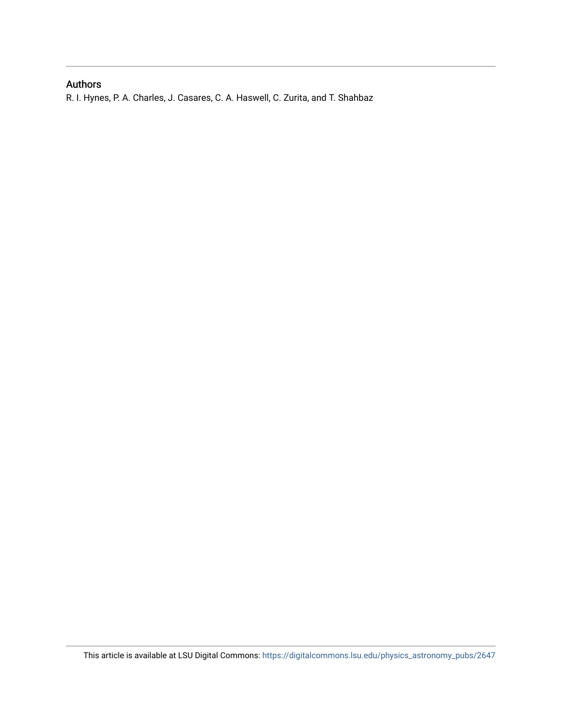### Authors

R. I. Hynes, P. A. Charles, J. Casares, C. A. Haswell, C. Zurita, and T. Shahbaz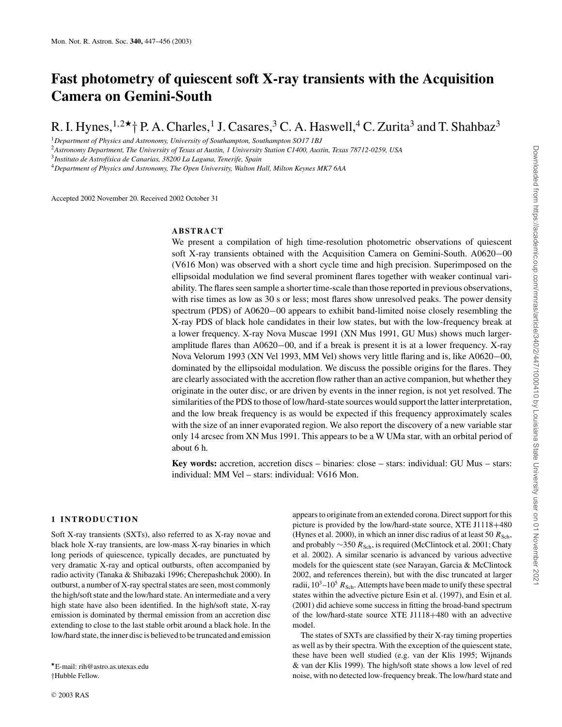## **Fast photometry of quiescent soft X-ray transients with the Acquisition Camera on Gemini-South**

R. I. Hynes,  $1.2*+$  P. A. Charles, <sup>1</sup> J. Casares, <sup>3</sup> C. A. Haswell, <sup>4</sup> C. Zurita<sup>3</sup> and T. Shahbaz<sup>3</sup>

<sup>1</sup>*Department of Physics and Astronomy, University of Southampton, Southampton SO17 1BJ*

<sup>2</sup>*Astronomy Department, The University of Texas at Austin, 1 University Station C1400, Austin, Texas 78712-0259, USA*

<sup>4</sup>*Department of Physics and Astronomy, The Open University, Walton Hall, Milton Keynes MK7 6AA*

Accepted 2002 November 20. Received 2002 October 31

#### **ABSTRACT**

We present a compilation of high time-resolution photometric observations of quiescent soft X-ray transients obtained with the Acquisition Camera on Gemini-South. A0620−00 (V616 Mon) was observed with a short cycle time and high precision. Superimposed on the ellipsoidal modulation we find several prominent flares together with weaker continual variability. The flares seen sample a shorter time-scale than those reported in previous observations, with rise times as low as 30 s or less; most flares show unresolved peaks. The power density spectrum (PDS) of A0620−00 appears to exhibit band-limited noise closely resembling the X-ray PDS of black hole candidates in their low states, but with the low-frequency break at a lower frequency. X-ray Nova Muscae 1991 (XN Mus 1991, GU Mus) shows much largeramplitude flares than A0620−00, and if a break is present it is at a lower frequency. X-ray Nova Velorum 1993 (XN Vel 1993, MM Vel) shows very little flaring and is, like A0620−00, dominated by the ellipsoidal modulation. We discuss the possible origins for the flares. They are clearly associated with the accretion flow rather than an active companion, but whether they originate in the outer disc, or are driven by events in the inner region, is not yet resolved. The similarities of the PDS to those of low/hard-state sources would support the latter interpretation, and the low break frequency is as would be expected if this frequency approximately scales with the size of an inner evaporated region. We also report the discovery of a new variable star only 14 arcsec from XN Mus 1991. This appears to be a W UMa star, with an orbital period of about 6 h.

**Key words:** accretion, accretion discs – binaries: close – stars: individual: GU Mus – stars: individual: MM Vel – stars: individual: V616 Mon.

#### **1 INTRODUCTION**

Soft X-ray transients (SXTs), also referred to as X-ray novae and black hole X-ray transients, are low-mass X-ray binaries in which long periods of quiescence, typically decades, are punctuated by very dramatic X-ray and optical outbursts, often accompanied by radio activity (Tanaka & Shibazaki 1996; Cherepashchuk 2000). In outburst, a number of X-ray spectral states are seen, most commonly the high/soft state and the low/hard state. An intermediate and a very high state have also been identified. In the high/soft state, X-ray emission is dominated by thermal emission from an accretion disc extending to close to the last stable orbit around a black hole. In the low/hard state, the inner disc is believed to be truncated and emission

E-mail: rih@astro.as.utexas.edu †Hubble Fellow.

appears to originate from an extended corona. Direct support for this picture is provided by the low/hard-state source, XTE J1118+480 (Hynes et al. 2000), in which an inner disc radius of at least 50  $R_{\rm Sch}$ , and probably ∼350 R<sub>Sch</sub>, is required (McClintock et al. 2001; Chaty et al. 2002). A similar scenario is advanced by various advective models for the quiescent state (see Narayan, Garcia & McClintock 2002, and references therein), but with the disc truncated at larger radii,  $10^3$ – $10^5$   $R_{\text{Sch}}$ . Attempts have been made to unify these spectral states within the advective picture Esin et al. (1997), and Esin et al. (2001) did achieve some success in fitting the broad-band spectrum of the low/hard-state source XTE J1118+480 with an advective model.

The states of SXTs are classified by their X-ray timing properties as well as by their spectra. With the exception of the quiescent state, these have been well studied (e.g. van der Klis 1995; Wijnands & van der Klis 1999). The high/soft state shows a low level of red noise, with no detected low-frequency break. The low/hard state and

<sup>3</sup>*Instituto de Astrof´ısica de Canarias, 38200 La Laguna, Tenerife, Spain*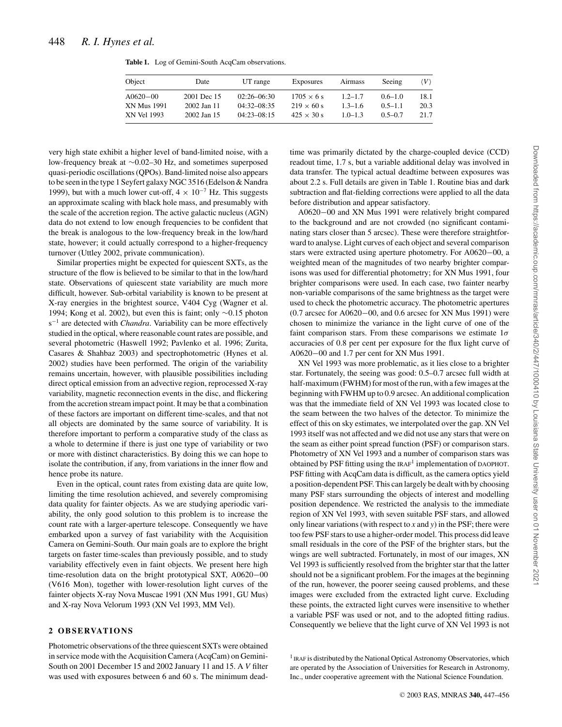|  |  |  |  | <b>Table 1.</b> Log of Gemini-South AcqCam observations. |
|--|--|--|--|----------------------------------------------------------|
|--|--|--|--|----------------------------------------------------------|

| Object       | Date        | UT range      | Exposures         | Airmass     | Seeing      | (V)  |
|--------------|-------------|---------------|-------------------|-------------|-------------|------|
| $A0620 - 00$ | 2001 Dec 15 | 02:26-06:30   | $1705 \times 6$ s | $1.2 - 1.7$ | $0.6 - 1.0$ | 18.1 |
| XN Mus 1991  | 2002 Jan 11 | $04:32-08:35$ | $219 \times 60 s$ | $1.3 - 1.6$ | $0.5 - 1.1$ | 20.3 |
| XN Vel 1993  | 2002 Jan 15 | $04:23-08:15$ | $425 \times 30$ s | $1.0 - 1.3$ | $0.5 - 0.7$ | 21.7 |

very high state exhibit a higher level of band-limited noise, with a low-frequency break at ∼0.02–30 Hz, and sometimes superposed quasi-periodic oscillations (QPOs). Band-limited noise also appears to be seen in the type 1 Seyfert galaxy NGC 3516 (Edelson & Nandra 1999), but with a much lower cut-off,  $4 \times 10^{-7}$  Hz. This suggests an approximate scaling with black hole mass, and presumably with the scale of the accretion region. The active galactic nucleus (AGN) data do not extend to low enough frequencies to be confident that the break is analogous to the low-frequency break in the low/hard state, however; it could actually correspond to a higher-frequency turnover (Uttley 2002, private communication).

Similar properties might be expected for quiescent SXTs, as the structure of the flow is believed to be similar to that in the low/hard state. Observations of quiescent state variability are much more difficult, however. Sub-orbital variability is known to be present at X-ray energies in the brightest source, V404 Cyg (Wagner et al. 1994; Kong et al. 2002), but even this is faint; only ∼0.15 photon s−<sup>1</sup> are detected with *Chandra*. Variability can be more effectively studied in the optical, where reasonable count rates are possible, and several photometric (Haswell 1992; Pavlenko et al. 1996; Zurita, Casares & Shahbaz 2003) and spectrophotometric (Hynes et al. 2002) studies have been performed. The origin of the variability remains uncertain, however, with plausible possibilities including direct optical emission from an advective region, reprocessed X-ray variability, magnetic reconnection events in the disc, and flickering from the accretion stream impact point. It may be that a combination of these factors are important on different time-scales, and that not all objects are dominated by the same source of variability. It is therefore important to perform a comparative study of the class as a whole to determine if there is just one type of variability or two or more with distinct characteristics. By doing this we can hope to isolate the contribution, if any, from variations in the inner flow and hence probe its nature.

Even in the optical, count rates from existing data are quite low, limiting the time resolution achieved, and severely compromising data quality for fainter objects. As we are studying aperiodic variability, the only good solution to this problem is to increase the count rate with a larger-aperture telescope. Consequently we have embarked upon a survey of fast variability with the Acquisition Camera on Gemini-South. Our main goals are to explore the bright targets on faster time-scales than previously possible, and to study variability effectively even in faint objects. We present here high time-resolution data on the bright prototypical SXT, A0620−00 (V616 Mon), together with lower-resolution light curves of the fainter objects X-ray Nova Muscae 1991 (XN Mus 1991, GU Mus) and X-ray Nova Velorum 1993 (XN Vel 1993, MM Vel).

#### 2 OBSERVATIONS

Photometric observations of the three quiescent SXTs were obtained in service mode with the Acquisition Camera (AcqCam) on Gemini-South on 2001 December 15 and 2002 January 11 and 15. A *V* filter was used with exposures between 6 and 60 s. The minimum deadtime was primarily dictated by the charge-coupled device (CCD) readout time, 1.7 s, but a variable additional delay was involved in data transfer. The typical actual deadtime between exposures was about 2.2 s. Full details are given in Table 1. Routine bias and dark subtraction and flat-fielding corrections were applied to all the data before distribution and appear satisfactory.

A0620−00 and XN Mus 1991 were relatively bright compared to the background and are not crowded (no significant contaminating stars closer than 5 arcsec). These were therefore straightforward to analyse. Light curves of each object and several comparison stars were extracted using aperture photometry. For A0620−00, a weighted mean of the magnitudes of two nearby brighter comparisons was used for differential photometry; for XN Mus 1991, four brighter comparisons were used. In each case, two fainter nearby non-variable comparisons of the same brightness as the target were used to check the photometric accuracy. The photometric apertures (0.7 arcsec for A0620−00, and 0.6 arcsec for XN Mus 1991) were chosen to minimize the variance in the light curve of one of the faint comparison stars. From these comparisons we estimate  $1\sigma$ accuracies of 0.8 per cent per exposure for the flux light curve of A0620−00 and 1.7 per cent for XN Mus 1991.

XN Vel 1993 was more problematic, as it lies close to a brighter star. Fortunately, the seeing was good: 0.5–0.7 arcsec full width at half-maximum (FWHM) for most of the run, with a few images at the beginning with FWHM up to 0.9 arcsec. An additional complication was that the immediate field of XN Vel 1993 was located close to the seam between the two halves of the detector. To minimize the effect of this on sky estimates, we interpolated over the gap. XN Vel 1993 itself was not affected and we did not use any stars that were on the seam as either point spread function (PSF) or comparison stars. Photometry of XN Vel 1993 and a number of comparison stars was obtained by PSF fitting using the IRAF1 implementation of DAOPHOT. PSF fitting with AcqCam data is difficult, as the camera optics yield a position-dependent PSF. This can largely be dealt with by choosing many PSF stars surrounding the objects of interest and modelling position dependence. We restricted the analysis to the immediate region of XN Vel 1993, with seven suitable PSF stars, and allowed only linear variations (with respect to *x* and *y*) in the PSF; there were too few PSF stars to use a higher-order model. This process did leave small residuals in the core of the PSF of the brighter stars, but the wings are well subtracted. Fortunately, in most of our images, XN Vel 1993 is sufficiently resolved from the brighter star that the latter should not be a significant problem. For the images at the beginning of the run, however, the poorer seeing caused problems, and these images were excluded from the extracted light curve. Excluding these points, the extracted light curves were insensitive to whether a variable PSF was used or not, and to the adopted fitting radius. Consequently we believe that the light curve of XN Vel 1993 is not

<sup>1</sup> IRAF is distributed by the National Optical Astronomy Observatories, which are operated by the Association of Universities for Research in Astronomy, Inc., under cooperative agreement with the National Science Foundation.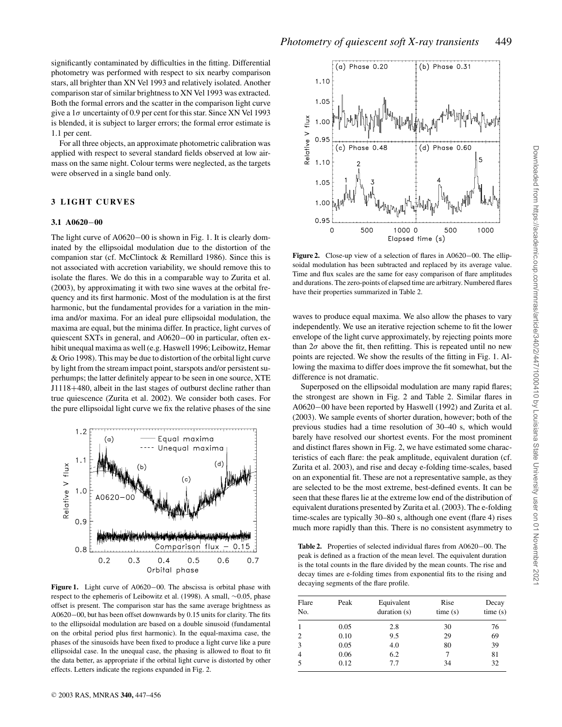significantly contaminated by difficulties in the fitting. Differential photometry was performed with respect to six nearby comparison stars, all brighter than XN Vel 1993 and relatively isolated. Another comparison star of similar brightness to XN Vel 1993 was extracted. Both the formal errors and the scatter in the comparison light curve give a  $1\sigma$  uncertainty of 0.9 per cent for this star. Since XN Vel 1993 is blended, it is subject to larger errors; the formal error estimate is 1.1 per cent.

For all three objects, an approximate photometric calibration was applied with respect to several standard fields observed at low airmass on the same night. Colour terms were neglected, as the targets were observed in a single band only.

#### **3 LIGHT CURVES**

#### **3.1 A0620**−**00**

The light curve of A0620−00 is shown in Fig. 1. It is clearly dominated by the ellipsoidal modulation due to the distortion of the companion star (cf. McClintock & Remillard 1986). Since this is not associated with accretion variability, we should remove this to isolate the flares. We do this in a comparable way to Zurita et al. (2003), by approximating it with two sine waves at the orbital frequency and its first harmonic. Most of the modulation is at the first harmonic, but the fundamental provides for a variation in the minima and/or maxima. For an ideal pure ellipsoidal modulation, the maxima are equal, but the minima differ. In practice, light curves of quiescent SXTs in general, and A0620−00 in particular, often exhibit unequal maxima as well (e.g. Haswell 1996; Leibowitz, Hemar & Orio 1998). This may be due to distortion of the orbital light curve by light from the stream impact point, starspots and/or persistent superhumps; the latter definitely appear to be seen in one source, XTE J1118+480, albeit in the last stages of outburst decline rather than true quiescence (Zurita et al. 2002). We consider both cases. For the pure ellipsoidal light curve we fix the relative phases of the sine



**Figure 1.** Light curve of A0620−00. The abscissa is orbital phase with respect to the ephemeris of Leibowitz et al. (1998). A small, ∼0.05, phase offset is present. The comparison star has the same average brightness as A0620−00, but has been offset downwards by 0.15 units for clarity. The fits to the ellipsoidal modulation are based on a double sinusoid (fundamental on the orbital period plus first harmonic). In the equal-maxima case, the phases of the sinusoids have been fixed to produce a light curve like a pure ellipsoidal case. In the unequal case, the phasing is allowed to float to fit the data better, as appropriate if the orbital light curve is distorted by other effects. Letters indicate the regions expanded in Fig. 2.



**Figure 2.** Close-up view of a selection of flares in A0620−00. The ellipsoidal modulation has been subtracted and replaced by its average value. Time and flux scales are the same for easy comparison of flare amplitudes and durations. The zero-points of elapsed time are arbitrary. Numbered flares have their properties summarized in Table 2.

waves to produce equal maxima. We also allow the phases to vary independently. We use an iterative rejection scheme to fit the lower envelope of the light curve approximately, by rejecting points more than  $2\sigma$  above the fit, then refitting. This is repeated until no new points are rejected. We show the results of the fitting in Fig. 1. Allowing the maxima to differ does improve the fit somewhat, but the difference is not dramatic.

Superposed on the ellipsoidal modulation are many rapid flares; the strongest are shown in Fig. 2 and Table 2. Similar flares in A0620−00 have been reported by Haswell (1992) and Zurita et al. (2003). We sample events of shorter duration, however; both of the previous studies had a time resolution of 30–40 s, which would barely have resolved our shortest events. For the most prominent and distinct flares shown in Fig. 2, we have estimated some characteristics of each flare: the peak amplitude, equivalent duration (cf. Zurita et al. 2003), and rise and decay e-folding time-scales, based on an exponential fit. These are not a representative sample, as they are selected to be the most extreme, best-defined events. It can be seen that these flares lie at the extreme low end of the distribution of equivalent durations presented by Zurita et al. (2003). The e-folding time-scales are typically 30–80 s, although one event (flare 4) rises much more rapidly than this. There is no consistent asymmetry to

**Table 2.** Properties of selected individual flares from A0620−00. The peak is defined as a fraction of the mean level. The equivalent duration is the total counts in the flare divided by the mean counts. The rise and decay times are e-folding times from exponential fits to the rising and decaying segments of the flare profile.

| Flare<br>No. | Peak | Equivalent<br>duration (s) | Rise<br>time(s) | Decay<br>time(s) |  |
|--------------|------|----------------------------|-----------------|------------------|--|
|              | 0.05 | 2.8                        | 30              | 76               |  |
| 2            | 0.10 | 9.5                        | 29              | 69               |  |
| 3            | 0.05 | 4.0                        | 80              | 39               |  |
| 4            | 0.06 | 6.2                        |                 | 81               |  |
|              | 0.12 | 7.7                        | 34              | 32               |  |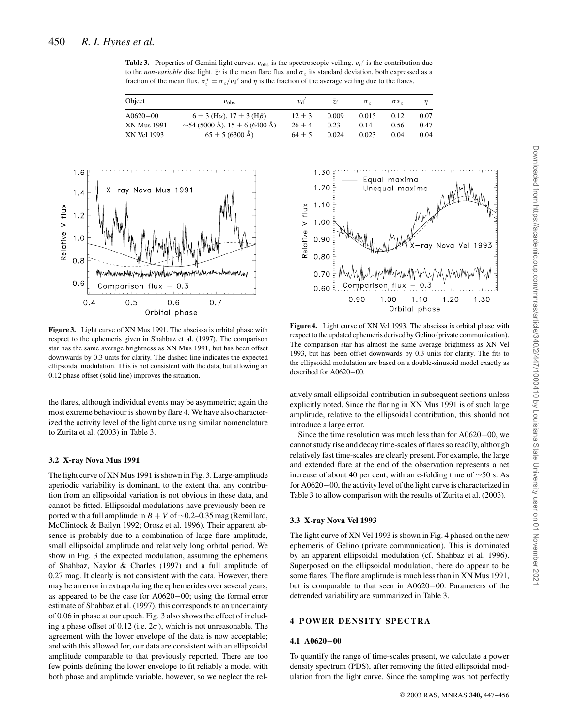**Table 3.** Properties of Gemini light curves.  $v_{obs}$  is the spectroscopic veiling.  $v_d$  is the contribution due to the *non-variable* disc light.  $\bar{z}_f$  is the mean flare flux and  $\sigma_z$  its standard deviation, both expressed as a fraction of the mean flux.  $\sigma_z^* = \sigma_z/v_d'$  and  $\eta$  is the fraction of the average veiling due to the flares.

| Object                            | $v_{\rm obs}$                                                      | $v_{d}$              | Zf            | $\sigma$ -    | $\sigma$ *   |              |
|-----------------------------------|--------------------------------------------------------------------|----------------------|---------------|---------------|--------------|--------------|
| $A0620 - 00$                      | $6 \pm 3$ (H $\alpha$ ), $17 \pm 3$ (H $\beta$ )                   | $12 + 3$             | 0.009         | 0.015         | 0.12         | 0.07         |
| <b>XN Mus 1991</b><br>XN Vel 1993 | $\sim$ 54 (5000 Å), 15 ± 6 (6400 Å)<br>$65 \pm 5 (6300 \text{ Å})$ | $26 + 4$<br>$64 + 5$ | 0.23<br>0.024 | 0.14<br>0.023 | 0.56<br>0.04 | 0.47<br>0.04 |



**Figure 3.** Light curve of XN Mus 1991. The abscissa is orbital phase with respect to the ephemeris given in Shahbaz et al. (1997). The comparison star has the same average brightness as XN Mus 1991, but has been offset downwards by 0.3 units for clarity. The dashed line indicates the expected ellipsoidal modulation. This is not consistent with the data, but allowing an 0.12 phase offset (solid line) improves the situation.

the flares, although individual events may be asymmetric; again the most extreme behaviour is shown by flare 4. We have also characterized the activity level of the light curve using similar nomenclature to Zurita et al. (2003) in Table 3.

#### **3.2 X-ray Nova Mus 1991**

The light curve of XN Mus 1991 is shown in Fig. 3. Large-amplitude aperiodic variability is dominant, to the extent that any contribution from an ellipsoidal variation is not obvious in these data, and cannot be fitted. Ellipsoidal modulations have previously been reported with a full amplitude in *B* + *V* of ∼0.2–0.35 mag (Remillard, McClintock & Bailyn 1992; Orosz et al. 1996). Their apparent absence is probably due to a combination of large flare amplitude, small ellipsoidal amplitude and relatively long orbital period. We show in Fig. 3 the expected modulation, assuming the ephemeris of Shahbaz, Naylor & Charles (1997) and a full amplitude of 0.27 mag. It clearly is not consistent with the data. However, there may be an error in extrapolating the ephemerides over several years, as appeared to be the case for A0620−00; using the formal error estimate of Shahbaz et al. (1997), this corresponds to an uncertainty of 0.06 in phase at our epoch. Fig. 3 also shows the effect of including a phase offset of 0.12 (i.e.  $2\sigma$ ), which is not unreasonable. The agreement with the lower envelope of the data is now acceptable; and with this allowed for, our data are consistent with an ellipsoidal amplitude comparable to that previously reported. There are too few points defining the lower envelope to fit reliably a model with both phase and amplitude variable, however, so we neglect the rel-



**Figure 4.** Light curve of XN Vel 1993. The abscissa is orbital phase with respect to the updated ephemeris derived by Gelino (private communication). The comparison star has almost the same average brightness as XN Vel 1993, but has been offset downwards by 0.3 units for clarity. The fits to the ellipsoidal modulation are based on a double-sinusoid model exactly as described for A0620−00.

atively small ellipsoidal contribution in subsequent sections unless explicitly noted. Since the flaring in XN Mus 1991 is of such large amplitude, relative to the ellipsoidal contribution, this should not introduce a large error.

Since the time resolution was much less than for A0620−00, we cannot study rise and decay time-scales of flares so readily, although relatively fast time-scales are clearly present. For example, the large and extended flare at the end of the observation represents a net increase of about 40 per cent, with an e-folding time of ∼50 s. As for A0620−00, the activity level of the light curve is characterized in Table 3 to allow comparison with the results of Zurita et al. (2003).

#### **3.3 X-ray Nova Vel 1993**

The light curve of XN Vel 1993 is shown in Fig. 4 phased on the new ephemeris of Gelino (private communication). This is dominated by an apparent ellipsoidal modulation (cf. Shahbaz et al. 1996). Superposed on the ellipsoidal modulation, there do appear to be some flares. The flare amplitude is much less than in XN Mus 1991, but is comparable to that seen in A0620−00. Parameters of the detrended variability are summarized in Table 3.

#### **4 POWER DENSITY SPECTRA**

#### **4.1 A0620**−**00**

To quantify the range of time-scales present, we calculate a power density spectrum (PDS), after removing the fitted ellipsoidal modulation from the light curve. Since the sampling was not perfectly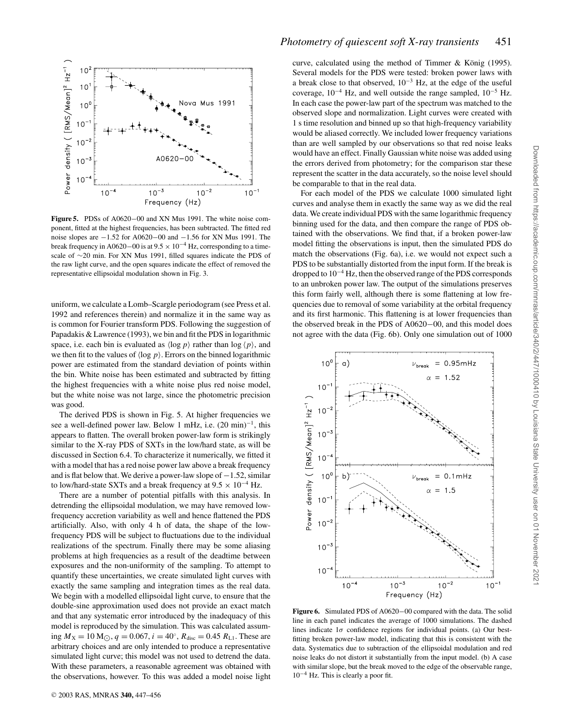

**Figure 5.** PDSs of A0620−00 and XN Mus 1991. The white noise component, fitted at the highest frequencies, has been subtracted. The fitted red noise slopes are −1.52 for A0620−00 and −1.56 for XN Mus 1991. The break frequency in A0620–00 is at  $9.5 \times 10^{-4}$  Hz, corresponding to a timescale of ∼20 min. For XN Mus 1991, filled squares indicate the PDS of the raw light curve, and the open squares indicate the effect of removed the representative ellipsoidal modulation shown in Fig. 3.

uniform, we calculate a Lomb–Scargle periodogram (see Press et al. 1992 and references therein) and normalize it in the same way as is common for Fourier transform PDS. Following the suggestion of Papadakis & Lawrence (1993), we bin and fit the PDS in logarithmic space, i.e. each bin is evaluated as  $\langle \log p \rangle$  rather than  $\log \langle p \rangle$ , and we then fit to the values of  $\langle \log p \rangle$ . Errors on the binned logarithmic power are estimated from the standard deviation of points within the bin. White noise has been estimated and subtracted by fitting the highest frequencies with a white noise plus red noise model, but the white noise was not large, since the photometric precision was good.

The derived PDS is shown in Fig. 5. At higher frequencies we see a well-defined power law. Below 1 mHz, i.e.  $(20 \text{ min})^{-1}$ , this appears to flatten. The overall broken power-law form is strikingly similar to the X-ray PDS of SXTs in the low/hard state, as will be discussed in Section 6.4. To characterize it numerically, we fitted it with a model that has a red noise power law above a break frequency and is flat below that. We derive a power-law slope of  $-1.52$ , similar to low/hard-state SXTs and a break frequency at  $9.5 \times 10^{-4}$  Hz.

There are a number of potential pitfalls with this analysis. In detrending the ellipsoidal modulation, we may have removed lowfrequency accretion variability as well and hence flattened the PDS artificially. Also, with only 4 h of data, the shape of the lowfrequency PDS will be subject to fluctuations due to the individual realizations of the spectrum. Finally there may be some aliasing problems at high frequencies as a result of the deadtime between exposures and the non-uniformity of the sampling. To attempt to quantify these uncertainties, we create simulated light curves with exactly the same sampling and integration times as the real data. We begin with a modelled ellipsoidal light curve, to ensure that the double-sine approximation used does not provide an exact match and that any systematic error introduced by the inadequacy of this model is reproduced by the simulation. This was calculated assuming  $M_X = 10 \text{ M}_\odot$ ,  $q = 0.067$ ,  $i = 40^\circ$ ,  $R_{\text{disc}} = 0.45 R_{\text{L1}}$ . These are arbitrary choices and are only intended to produce a representative simulated light curve; this model was not used to detrend the data. With these parameters, a reasonable agreement was obtained with the observations, however. To this was added a model noise light curve, calculated using the method of Timmer & König (1995). Several models for the PDS were tested: broken power laws with a break close to that observed,  $10^{-3}$  Hz, at the edge of the useful coverage,  $10^{-4}$  Hz, and well outside the range sampled,  $10^{-5}$  Hz. In each case the power-law part of the spectrum was matched to the observed slope and normalization. Light curves were created with 1 s time resolution and binned up so that high-frequency variability would be aliased correctly. We included lower frequency variations than are well sampled by our observations so that red noise leaks would have an effect. Finally Gaussian white noise was added using the errors derived from photometry; for the comparison star these represent the scatter in the data accurately, so the noise level should be comparable to that in the real data.

For each model of the PDS we calculate 1000 simulated light curves and analyse them in exactly the same way as we did the real data. We create individual PDS with the same logarithmic frequency binning used for the data, and then compare the range of PDS obtained with the observations. We find that, if a broken power-law model fitting the observations is input, then the simulated PDS do match the observations (Fig. 6a), i.e. we would not expect such a PDS to be substantially distorted from the input form. If the break is dropped to 10−<sup>4</sup> Hz, then the observed range of the PDS corresponds to an unbroken power law. The output of the simulations preserves this form fairly well, although there is some flattening at low frequencies due to removal of some variability at the orbital frequency and its first harmonic. This flattening is at lower frequencies than the observed break in the PDS of A0620−00, and this model does not agree with the data (Fig. 6b). Only one simulation out of 1000



**Figure 6.** Simulated PDS of A0620−00 compared with the data. The solid line in each panel indicates the average of 1000 simulations. The dashed lines indicate  $1\sigma$  confidence regions for individual points. (a) Our bestfitting broken power-law model, indicating that this is consistent with the data. Systematics due to subtraction of the ellipsoidal modulation and red noise leaks do not distort it substantially from the input model. (b) A case with similar slope, but the break moved to the edge of the observable range, 10−<sup>4</sup> Hz. This is clearly a poor fit.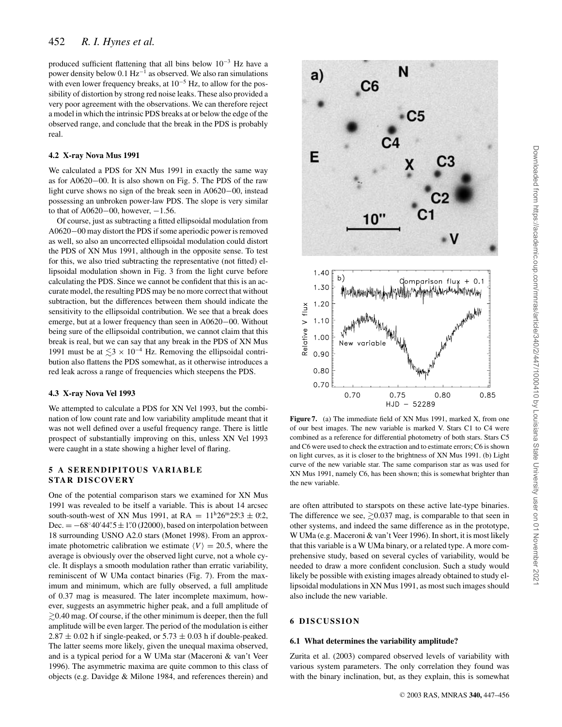produced sufficient flattening that all bins below 10−<sup>3</sup> Hz have a power density below 0.1 Hz−<sup>1</sup> as observed. We also ran simulations with even lower frequency breaks, at  $10^{-5}$  Hz, to allow for the possibility of distortion by strong red noise leaks. These also provided a very poor agreement with the observations. We can therefore reject a model in which the intrinsic PDS breaks at or below the edge of the observed range, and conclude that the break in the PDS is probably real.

#### **4.2 X-ray Nova Mus 1991**

We calculated a PDS for XN Mus 1991 in exactly the same way as for A0620−00. It is also shown on Fig. 5. The PDS of the raw light curve shows no sign of the break seen in A0620−00, instead possessing an unbroken power-law PDS. The slope is very similar to that of A0620–00, however,  $-1.56$ .

Of course, just as subtracting a fitted ellipsoidal modulation from A0620−00 may distort the PDS if some aperiodic power is removed as well, so also an uncorrected ellipsoidal modulation could distort the PDS of XN Mus 1991, although in the opposite sense. To test for this, we also tried subtracting the representative (not fitted) ellipsoidal modulation shown in Fig. 3 from the light curve before calculating the PDS. Since we cannot be confident that this is an accurate model, the resulting PDS may be no more correct that without subtraction, but the differences between them should indicate the sensitivity to the ellipsoidal contribution. We see that a break does emerge, but at a lower frequency than seen in A0620−00. Without being sure of the ellipsoidal contribution, we cannot claim that this break is real, but we can say that any break in the PDS of XN Mus 1991 must be at  $\leq 3 \times 10^{-4}$  Hz. Removing the ellipsoidal contribution also flattens the PDS somewhat, as it otherwise introduces a red leak across a range of frequencies which steepens the PDS.

#### **4.3 X-ray Nova Vel 1993**

We attempted to calculate a PDS for XN Vel 1993, but the combination of low count rate and low variability amplitude meant that it was not well defined over a useful frequency range. There is little prospect of substantially improving on this, unless XN Vel 1993 were caught in a state showing a higher level of flaring.

#### **5 A SERENDIPITOUS VARIABLE STAR DISCOVERY**

One of the potential comparison stars we examined for XN Mus 1991 was revealed to be itself a variable. This is about 14 arcsec south-south-west of XN Mus 1991, at RA =  $11^{\text{h}}26^{\text{m}}25.3 \pm 0.2$ , Dec.  $= -68°40'44''5 \pm 1''0$  (J2000), based on interpolation between 18 surrounding USNO A2.0 stars (Monet 1998). From an approximate photometric calibration we estimate  $\langle V \rangle = 20.5$ , where the average is obviously over the observed light curve, not a whole cycle. It displays a smooth modulation rather than erratic variability, reminiscent of W UMa contact binaries (Fig. 7). From the maximum and minimum, which are fully observed, a full amplitude of 0.37 mag is measured. The later incomplete maximum, however, suggests an asymmetric higher peak, and a full amplitude of  $\gtrsim$  0.40 mag. Of course, if the other minimum is deeper, then the full amplitude will be even larger. The period of the modulation is either  $2.87 \pm 0.02$  h if single-peaked, or  $5.73 \pm 0.03$  h if double-peaked. The latter seems more likely, given the unequal maxima observed, and is a typical period for a W UMa star (Maceroni & van't Veer 1996). The asymmetric maxima are quite common to this class of objects (e.g. Davidge & Milone 1984, and references therein) and



Figure 7. (a) The immediate field of XN Mus 1991, marked X, from one of our best images. The new variable is marked V. Stars C1 to C4 were combined as a reference for differential photometry of both stars. Stars C5 and C6 were used to check the extraction and to estimate errors; C6 is shown on light curves, as it is closer to the brightness of XN Mus 1991. (b) Light curve of the new variable star. The same comparison star as was used for XN Mus 1991, namely C6, has been shown; this is somewhat brighter than the new variable.

are often attributed to starspots on these active late-type binaries. The difference we see,  $\gtrsim 0.037$  mag, is comparable to that seen in other systems, and indeed the same difference as in the prototype, W UMa (e.g. Maceroni & van't Veer 1996). In short, it is most likely that this variable is a W UMa binary, or a related type. A more comprehensive study, based on several cycles of variability, would be needed to draw a more confident conclusion. Such a study would likely be possible with existing images already obtained to study ellipsoidal modulations in XN Mus 1991, as most such images should also include the new variable.

#### **6 DISCUSSION**

#### **6.1 What determines the variability amplitude?**

Zurita et al. (2003) compared observed levels of variability with various system parameters. The only correlation they found was with the binary inclination, but, as they explain, this is somewhat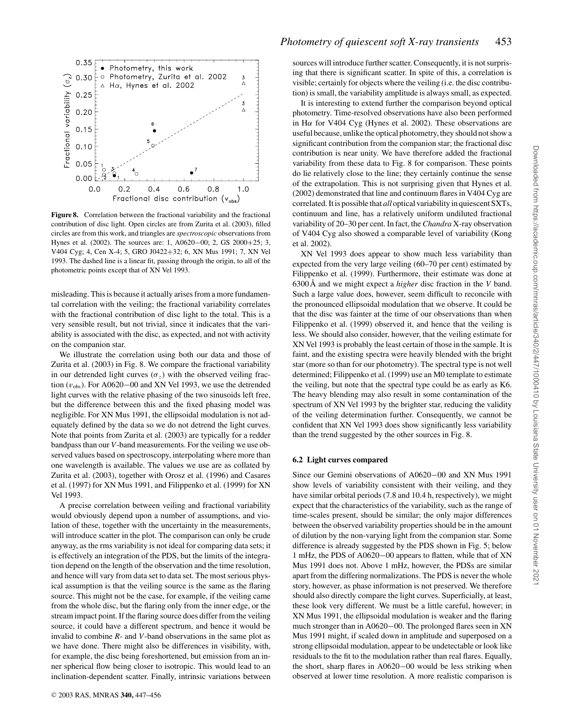

**Figure 8.** Correlation between the fractional variability and the fractional contribution of disc light. Open circles are from Zurita et al. (2003), filled circles are from this work, and triangles are *spectroscopic* observations from Hynes et al. (2002). The sources are: 1, A0620−00; 2, GS 2000+25; 3, V404 Cyg; 4, Cen X-4; 5, GRO J0422+32; 6, XN Mus 1991; 7, XN Vel 1993. The dashed line is a linear fit, passing through the origin, to all of the photometric points except that of XN Vel 1993.

misleading. This is because it actually arises from a more fundamental correlation with the veiling; the fractional variability correlates with the fractional contribution of disc light to the total. This is a very sensible result, but not trivial, since it indicates that the variability is associated with the disc, as expected, and not with activity on the companion star.

We illustrate the correlation using both our data and those of Zurita et al. (2003) in Fig. 8. We compare the fractional variability in our detrended light curves ( $\sigma_z$ ) with the observed veiling fraction  $(v<sub>obs</sub>)$ . For A0620–00 and XN Vel 1993, we use the detrended light curves with the relative phasing of the two sinusoids left free, but the difference between this and the fixed phasing model was negligible. For XN Mus 1991, the ellipsoidal modulation is not adequately defined by the data so we do not detrend the light curves. Note that points from Zurita et al. (2003) are typically for a redder bandpass than our *V*-band measurements. For the veiling we use observed values based on spectroscopy, interpolating where more than one wavelength is available. The values we use are as collated by Zurita et al. (2003), together with Orosz et al. (1996) and Casares et al. (1997) for XN Mus 1991, and Filippenko et al. (1999) for XN Vel 1993.

A precise correlation between veiling and fractional variability would obviously depend upon a number of assumptions, and violation of these, together with the uncertainty in the measurements, will introduce scatter in the plot. The comparison can only be crude anyway, as the rms variability is not ideal for comparing data sets; it is effectively an integration of the PDS, but the limits of the integration depend on the length of the observation and the time resolution, and hence will vary from data set to data set. The most serious physical assumption is that the veiling source is the same as the flaring source. This might not be the case, for example, if the veiling came from the whole disc, but the flaring only from the inner edge, or the stream impact point. If the flaring source does differ from the veiling source, it could have a different spectrum, and hence it would be invalid to combine *R*- and *V*-band observations in the same plot as we have done. There might also be differences in visibility, with, for example, the disc being foreshortened, but emission from an inner spherical flow being closer to isotropic. This would lead to an inclination-dependent scatter. Finally, intrinsic variations between sources will introduce further scatter. Consequently, it is not surprising that there is significant scatter. In spite of this, a correlation is visible; certainly for objects where the veiling (i.e. the disc contribution) is small, the variability amplitude is always small, as expected.

It is interesting to extend further the comparison beyond optical photometry. Time-resolved observations have also been performed in H $\alpha$  for V404 Cyg (Hynes et al. 2002). These observations are useful because, unlike the optical photometry, they should not show a significant contribution from the companion star; the fractional disc contribution is near unity. We have therefore added the fractional variability from these data to Fig. 8 for comparison. These points do lie relatively close to the line; they certainly continue the sense of the extrapolation. This is not surprising given that Hynes et al. (2002) demonstrated that line and continuum flares in V404 Cyg are correlated. It is possible that *all* optical variability in quiescent SXTs, continuum and line, has a relatively uniform undiluted fractional variability of 20–30 per cent. In fact, the *Chandra* X-ray observation of V404 Cyg also showed a comparable level of variability (Kong et al. 2002).

XN Vel 1993 does appear to show much less variability than expected from the very large veiling (60–70 per cent) estimated by Filippenko et al. (1999). Furthermore, their estimate was done at 6300 $\AA$  and we might expect a *higher* disc fraction in the *V* band. Such a large value does, however, seem difficult to reconcile with the pronounced ellipsoidal modulation that we observe. It could be that the disc was fainter at the time of our observations than when Filippenko et al. (1999) observed it, and hence that the veiling is less. We should also consider, however, that the veiling estimate for XN Vel 1993 is probably the least certain of those in the sample. It is faint, and the existing spectra were heavily blended with the bright star (more so than for our photometry). The spectral type is not well determined; Filippenko et al. (1999) use an M0 template to estimate the veiling, but note that the spectral type could be as early as K6. The heavy blending may also result in some contamination of the spectrum of XN Vel 1993 by the brighter star, reducing the validity of the veiling determination further. Consequently, we cannot be confident that XN Vel 1993 does show significantly less variability than the trend suggested by the other sources in Fig. 8.

#### **6.2 Light curves compared**

Since our Gemini observations of A0620−00 and XN Mus 1991 show levels of variability consistent with their veiling, and they have similar orbital periods (7.8 and 10.4 h, respectively), we might expect that the characteristics of the variability, such as the range of time-scales present, should be similar; the only major differences between the observed variability properties should be in the amount of dilution by the non-varying light from the companion star. Some difference is already suggested by the PDS shown in Fig. 5; below 1 mHz, the PDS of A0620−00 appears to flatten, while that of XN Mus 1991 does not. Above 1 mHz, however, the PDSs are similar apart from the differing normalizations. The PDS is never the whole story, however, as phase information is not preserved. We therefore should also directly compare the light curves. Superficially, at least, these look very different. We must be a little careful, however; in XN Mus 1991, the ellipsoidal modulation is weaker and the flaring much stronger than in A0620−00. The prolonged flares seen in XN Mus 1991 might, if scaled down in amplitude and superposed on a strong ellipsoidal modulation, appear to be undetectable or look like residuals to the fit to the modulation rather than real flares. Equally, the short, sharp flares in A0620−00 would be less striking when observed at lower time resolution. A more realistic comparison is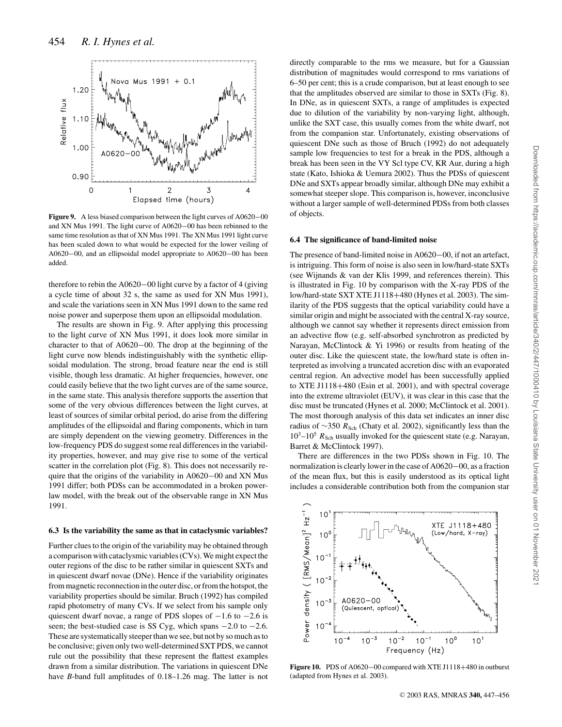

**Figure 9.** A less biased comparison between the light curves of A0620−00 and XN Mus 1991. The light curve of A0620−00 has been rebinned to the same time resolution as that of XN Mus 1991. The XN Mus 1991 light curve has been scaled down to what would be expected for the lower veiling of A0620−00, and an ellipsoidal model appropriate to A0620−00 has been added.

therefore to rebin the A0620−00 light curve by a factor of 4 (giving a cycle time of about 32 s, the same as used for XN Mus 1991), and scale the variations seen in XN Mus 1991 down to the same red noise power and superpose them upon an ellipsoidal modulation.

The results are shown in Fig. 9. After applying this processing to the light curve of XN Mus 1991, it does look more similar in character to that of A0620−00. The drop at the beginning of the light curve now blends indistinguishably with the synthetic ellipsoidal modulation. The strong, broad feature near the end is still visible, though less dramatic. At higher frequencies, however, one could easily believe that the two light curves are of the same source, in the same state. This analysis therefore supports the assertion that some of the very obvious differences between the light curves, at least of sources of similar orbital period, do arise from the differing amplitudes of the ellipsoidal and flaring components, which in turn are simply dependent on the viewing geometry. Differences in the low-frequency PDS do suggest some real differences in the variability properties, however, and may give rise to some of the vertical scatter in the correlation plot (Fig. 8). This does not necessarily require that the origins of the variability in A0620−00 and XN Mus 1991 differ; both PDSs can be accommodated in a broken powerlaw model, with the break out of the observable range in XN Mus 1991.

#### **6.3 Is the variability the same as that in cataclysmic variables?**

Further clues to the origin of the variability may be obtained through a comparison with cataclysmic variables (CVs). We might expect the outer regions of the disc to be rather similar in quiescent SXTs and in quiescent dwarf novae (DNe). Hence if the variability originates from magnetic reconnection in the outer disc, or from the hotspot, the variability properties should be similar. Bruch (1992) has compiled rapid photometry of many CVs. If we select from his sample only quiescent dwarf novae, a range of PDS slopes of  $-1.6$  to  $-2.6$  is seen; the best-studied case is SS Cyg, which spans  $-2.0$  to  $-2.6$ . These are systematically steeper than we see, but not by so much as to be conclusive; given only two well-determined SXT PDS, we cannot rule out the possibility that these represent the flattest examples drawn from a similar distribution. The variations in quiescent DNe have *B*-band full amplitudes of 0.18–1.26 mag. The latter is not directly comparable to the rms we measure, but for a Gaussian distribution of magnitudes would correspond to rms variations of 6–50 per cent; this is a crude comparison, but at least enough to see that the amplitudes observed are similar to those in SXTs (Fig. 8). In DNe, as in quiescent SXTs, a range of amplitudes is expected due to dilution of the variability by non-varying light, although, unlike the SXT case, this usually comes from the white dwarf, not from the companion star. Unfortunately, existing observations of quiescent DNe such as those of Bruch (1992) do not adequately sample low frequencies to test for a break in the PDS, although a break has been seen in the VY Scl type CV, KR Aur, during a high state (Kato, Ishioka & Uemura 2002). Thus the PDSs of quiescent DNe and SXTs appear broadly similar, although DNe may exhibit a somewhat steeper slope. This comparison is, however, inconclusive without a larger sample of well-determined PDSs from both classes of objects.

#### **6.4 The significance of band-limited noise**

The presence of band-limited noise in A0620−00, if not an artefact, is intriguing. This form of noise is also seen in low/hard-state SXTs (see Wijnands & van der Klis 1999, and references therein). This is illustrated in Fig. 10 by comparison with the X-ray PDS of the low/hard-state SXT XTE J1118+480 (Hynes et al. 2003). The similarity of the PDS suggests that the optical variability could have a similar origin and might be associated with the central X-ray source, although we cannot say whether it represents direct emission from an advective flow (e.g. self-absorbed synchrotron as predicted by Narayan, McClintock & Yi 1996) or results from heating of the outer disc. Like the quiescent state, the low/hard state is often interpreted as involving a truncated accretion disc with an evaporated central region. An advective model has been successfully applied to XTE J1118+480 (Esin et al. 2001), and with spectral coverage into the extreme ultraviolet (EUV), it was clear in this case that the disc must be truncated (Hynes et al. 2000; McClintock et al. 2001). The most thorough analysis of this data set indicates an inner disc radius of ∼350 *R*<sub>Sch</sub> (Chaty et al. 2002), significantly less than the  $10^3$ – $10^5$   $R_{\text{Sch}}$  usually invoked for the quiescent state (e.g. Narayan, Barret & McClintock 1997).

There are differences in the two PDSs shown in Fig. 10. The normalization is clearly lower in the case of A0620−00, as a fraction of the mean flux, but this is easily understood as its optical light includes a considerable contribution both from the companion star



**Figure 10.** PDS of A0620−00 compared with XTE J1118+480 in outburst (adapted from Hynes et al. 2003).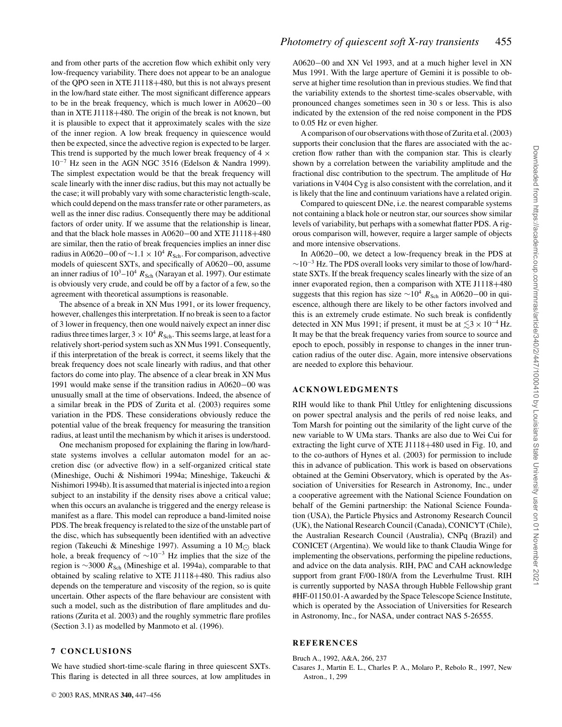and from other parts of the accretion flow which exhibit only very low-frequency variability. There does not appear to be an analogue of the QPO seen in XTE J1118+480, but this is not always present in the low/hard state either. The most significant difference appears to be in the break frequency, which is much lower in A0620−00 than in XTE J1118+480. The origin of the break is not known, but it is plausible to expect that it approximately scales with the size of the inner region. A low break frequency in quiescence would then be expected, since the advective region is expected to be larger. This trend is supported by the much lower break frequency of  $4 \times$ 10−<sup>7</sup> Hz seen in the AGN NGC 3516 (Edelson & Nandra 1999). The simplest expectation would be that the break frequency will scale linearly with the inner disc radius, but this may not actually be the case; it will probably vary with some characteristic length-scale, which could depend on the mass transfer rate or other parameters, as well as the inner disc radius. Consequently there may be additional factors of order unity. If we assume that the relationship is linear, and that the black hole masses in A0620−00 and XTE J1118+480 are similar, then the ratio of break frequencies implies an inner disc radius in A0620–00 of  $\sim$ 1.1 × 10<sup>4</sup>  $R_{\text{Sch}}$ . For comparison, advective models of quiescent SXTs, and specifically of A0620−00, assume an inner radius of  $10^3$ – $10^4$   $R_{Sch}$  (Narayan et al. 1997). Our estimate is obviously very crude, and could be off by a factor of a few, so the agreement with theoretical assumptions is reasonable.

The absence of a break in XN Mus 1991, or its lower frequency, however, challenges this interpretation. If no break is seen to a factor of 3 lower in frequency, then one would naively expect an inner disc radius three times larger,  $3 \times 10^4 R_{\text{Sch}}$ . This seems large, at least for a relatively short-period system such as XN Mus 1991. Consequently, if this interpretation of the break is correct, it seems likely that the break frequency does not scale linearly with radius, and that other factors do come into play. The absence of a clear break in XN Mus 1991 would make sense if the transition radius in A0620−00 was unusually small at the time of observations. Indeed, the absence of a similar break in the PDS of Zurita et al. (2003) requires some variation in the PDS. These considerations obviously reduce the potential value of the break frequency for measuring the transition radius, at least until the mechanism by which it arises is understood.

One mechanism proposed for explaining the flaring in low/hardstate systems involves a cellular automaton model for an accretion disc (or advective flow) in a self-organized critical state (Mineshige, Ouchi & Nishimori 1994a; Mineshige, Takeuchi & Nishimori 1994b). It is assumed that material is injected into a region subject to an instability if the density rises above a critical value; when this occurs an avalanche is triggered and the energy release is manifest as a flare. This model can reproduce a band-limited noise PDS. The break frequency is related to the size of the unstable part of the disc, which has subsequently been identified with an advective region (Takeuchi & Mineshige 1997). Assuming a 10  $M_{\odot}$  black hole, a break frequency of  $\sim 10^{-3}$  Hz implies that the size of the region is ∼3000 *R*<sub>Sch</sub> (Mineshige et al. 1994a), comparable to that obtained by scaling relative to XTE J1118+480. This radius also depends on the temperature and viscosity of the region, so is quite uncertain. Other aspects of the flare behaviour are consistent with such a model, such as the distribution of flare amplitudes and durations (Zurita et al. 2003) and the roughly symmetric flare profiles (Section 3.1) as modelled by Manmoto et al. (1996).

#### **7 CONCLUSIONS**

We have studied short-time-scale flaring in three quiescent SXTs. This flaring is detected in all three sources, at low amplitudes in A0620−00 and XN Vel 1993, and at a much higher level in XN Mus 1991. With the large aperture of Gemini it is possible to observe at higher time resolution than in previous studies. We find that the variability extends to the shortest time-scales observable, with pronounced changes sometimes seen in 30 s or less. This is also indicated by the extension of the red noise component in the PDS to 0.05 Hz or even higher.

A comparison of our observations with those of Zurita et al. (2003) supports their conclusion that the flares are associated with the accretion flow rather than with the companion star. This is clearly shown by a correlation between the variability amplitude and the fractional disc contribution to the spectrum. The amplitude of  $H\alpha$ variations in V404 Cyg is also consistent with the correlation, and it is likely that the line and continuum variations have a related origin.

Compared to quiescent DNe, i.e. the nearest comparable systems not containing a black hole or neutron star, our sources show similar levels of variability, but perhaps with a somewhat flatter PDS. A rigorous comparison will, however, require a larger sample of objects and more intensive observations.

In A0620−00, we detect a low-frequency break in the PDS at  $\sim$ 10<sup>-3</sup> Hz. The PDS overall looks very similar to those of low/hardstate SXTs. If the break frequency scales linearly with the size of an inner evaporated region, then a comparison with XTE J1118+480 suggests that this region has size ~10<sup>4</sup> *R*<sub>Sch</sub> in A0620−00 in quiescence, although there are likely to be other factors involved and this is an extremely crude estimate. No such break is confidently detected in XN Mus 1991; if present, it must be at  $\leq 3 \times 10^{-4}$  Hz. It may be that the break frequency varies from source to source and epoch to epoch, possibly in response to changes in the inner truncation radius of the outer disc. Again, more intensive observations are needed to explore this behaviour.

#### **ACKNOWLEDGMENTS**

RIH would like to thank Phil Uttley for enlightening discussions on power spectral analysis and the perils of red noise leaks, and Tom Marsh for pointing out the similarity of the light curve of the new variable to W UMa stars. Thanks are also due to Wei Cui for extracting the light curve of XTE J1118+480 used in Fig. 10, and to the co-authors of Hynes et al. (2003) for permission to include this in advance of publication. This work is based on observations obtained at the Gemini Observatory, which is operated by the Association of Universities for Research in Astronomy, Inc., under a cooperative agreement with the National Science Foundation on behalf of the Gemini partnership: the National Science Foundation (USA), the Particle Physics and Astronomy Research Council (UK), the National Research Council (Canada), CONICYT (Chile), the Australian Research Council (Australia), CNPq (Brazil) and CONICET (Argentina). We would like to thank Claudia Winge for implementing the observations, performing the pipeline reductions, and advice on the data analysis. RIH, PAC and CAH acknowledge support from grant F/00-180/A from the Leverhulme Trust. RIH is currently supported by NASA through Hubble Fellowship grant #HF-01150.01-A awarded by the Space Telescope Science Institute, which is operated by the Association of Universities for Research in Astronomy, Inc., for NASA, under contract NAS 5-26555.

#### **REFERENCES**

Bruch A., 1992, A&A, 266, 237